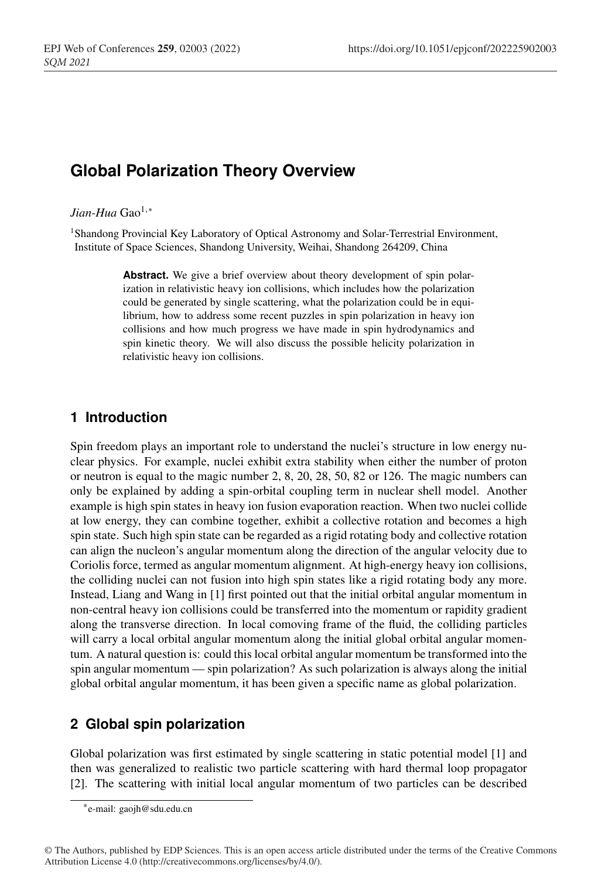# **Global Polarization Theory Overview**

#### *Jian-Hua* Gao<sup>1,∗</sup>

*SQM 2021*

1Shandong Provincial Key Laboratory of Optical Astronomy and Solar-Terrestrial Environment, Institute of Space Sciences, Shandong University, Weihai, Shandong 264209, China

> Abstract. We give a brief overview about theory development of spin polarization in relativistic heavy ion collisions, which includes how the polarization could be generated by single scattering, what the polarization could be in equilibrium, how to address some recent puzzles in spin polarization in heavy ion collisions and how much progress we have made in spin hydrodynamics and spin kinetic theory. We will also discuss the possible helicity polarization in relativistic heavy ion collisions.

## **1 Introduction**

Spin freedom plays an important role to understand the nuclei's structure in low energy nuclear physics. For example, nuclei exhibit extra stability when either the number of proton or neutron is equal to the magic number 2, 8, 20, 28, 50, 82 or 126. The magic numbers can only be explained by adding a spin-orbital coupling term in nuclear shell model. Another example is high spin states in heavy ion fusion evaporation reaction. When two nuclei collide at low energy, they can combine together, exhibit a collective rotation and becomes a high spin state. Such high spin state can be regarded as a rigid rotating body and collective rotation can align the nucleon's angular momentum along the direction of the angular velocity due to Coriolis force, termed as angular momentum alignment. At high-energy heavy ion collisions, the colliding nuclei can not fusion into high spin states like a rigid rotating body any more. Instead, Liang and Wang in [1] first pointed out that the initial orbital angular momentum in non-central heavy ion collisions could be transferred into the momentum or rapidity gradient along the transverse direction. In local comoving frame of the fluid, the colliding particles will carry a local orbital angular momentum along the initial global orbital angular momentum. A natural question is: could this local orbital angular momentum be transformed into the spin angular momentum — spin polarization? As such polarization is always along the initial global orbital angular momentum, it has been given a specific name as global polarization.

## **2 Global spin polarization**

Global polarization was first estimated by single scattering in static potential model [1] and then was generalized to realistic two particle scattering with hard thermal loop propagator [2]. The scattering with initial local angular momentum of two particles can be described

<sup>∗</sup>e-mail: gaojh@sdu.edu.cn

<sup>©</sup> The Authors, published by EDP Sciences. This is an open access article distributed under the terms of the Creative Commons Attribution License 4.0 (http://creativecommons.org/licenses/by/4.0/).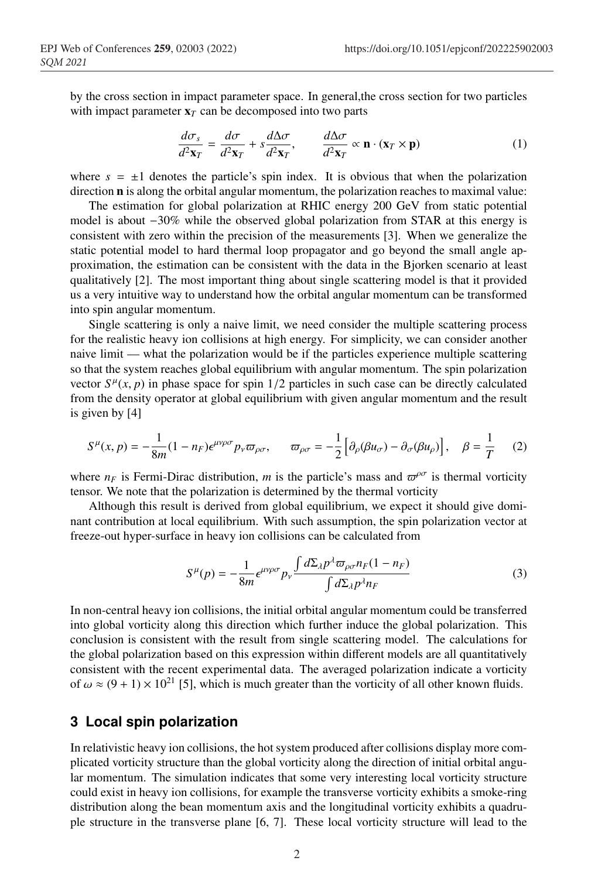by the cross section in impact parameter space. In general,the cross section for two particles with impact parameter  $x_T$  can be decomposed into two parts

$$
\frac{d\sigma_s}{d^2\mathbf{x}_T} = \frac{d\sigma}{d^2\mathbf{x}_T} + s\frac{d\Delta\sigma}{d^2\mathbf{x}_T}, \qquad \frac{d\Delta\sigma}{d^2\mathbf{x}_T} \propto \mathbf{n} \cdot (\mathbf{x}_T \times \mathbf{p})
$$
(1)

where  $s = \pm 1$  denotes the particle's spin index. It is obvious that when the polarization direction n is along the orbital angular momentum, the polarization reaches to maximal value:

The estimation for global polarization at RHIC energy 200 GeV from static potential model is about  $-30\%$  while the observed global polarization from STAR at this energy is consistent with zero within the precision of the measurements [3]. When we generalize the static potential model to hard thermal loop propagator and go beyond the small angle approximation, the estimation can be consistent with the data in the Bjorken scenario at least qualitatively [2]. The most important thing about single scattering model is that it provided us a very intuitive way to understand how the orbital angular momentum can be transformed into spin angular momentum.

Single scattering is only a naive limit, we need consider the multiple scattering process for the realistic heavy ion collisions at high energy. For simplicity, we can consider another naive limit — what the polarization would be if the particles experience multiple scattering so that the system reaches global equilibrium with angular momentum. The spin polarization vector  $S^{\mu}(x, p)$  in phase space for spin 1/2 particles in such case can be directly calculated from the density operator at global equilibrium with given angular momentum and the result is given by [4]

$$
S^{\mu}(x,p) = -\frac{1}{8m}(1 - n_F)\epsilon^{\mu\nu\rho\sigma}p_{\nu}\varpi_{\rho\sigma}, \qquad \varpi_{\rho\sigma} = -\frac{1}{2}\left[\partial_{\rho}(\beta u_{\sigma}) - \partial_{\sigma}(\beta u_{\rho})\right], \quad \beta = \frac{1}{T} \tag{2}
$$

where  $n_F$  is Fermi-Dirac distribution, *m* is the particle's mass and  $\varpi^{\rho\sigma}$  is thermal vorticity tensor. We note that the polarization is determined by the thermal vorticity

Although this result is derived from global equilibrium, we expect it should give dominant contribution at local equilibrium. With such assumption, the spin polarization vector at freeze-out hyper-surface in heavy ion collisions can be calculated from

$$
S^{\mu}(p) = -\frac{1}{8m} \epsilon^{\mu\nu\rho\sigma} p_{\nu} \frac{\int d\Sigma_{\lambda} p^{\lambda} \varpi_{\rho\sigma} n_F (1 - n_F)}{\int d\Sigma_{\lambda} p^{\lambda} n_F}
$$
(3)

In non-central heavy ion collisions, the initial orbital angular momentum could be transferred into global vorticity along this direction which further induce the global polarization. This conclusion is consistent with the result from single scattering model. The calculations for the global polarization based on this expression within different models are all quantitatively consistent with the recent experimental data. The averaged polarization indicate a vorticity of  $\omega \approx (9 + 1) \times 10^{21}$  [5], which is much greater than the vorticity of all other known fluids.

### **3 Local spin polarization**

In relativistic heavy ion collisions, the hot system produced after collisions display more complicated vorticity structure than the global vorticity along the direction of initial orbital angular momentum. The simulation indicates that some very interesting local vorticity structure could exist in heavy ion collisions, for example the transverse vorticity exhibits a smoke-ring distribution along the bean momentum axis and the longitudinal vorticity exhibits a quadruple structure in the transverse plane [6, 7]. These local vorticity structure will lead to the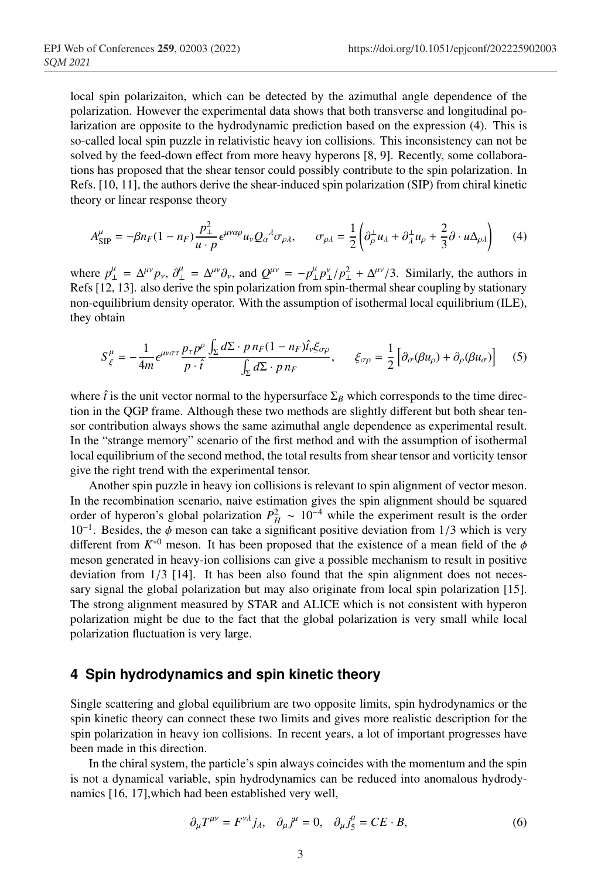local spin polarizaiton, which can be detected by the azimuthal angle dependence of the polarization. However the experimental data shows that both transverse and longitudinal polarization are opposite to the hydrodynamic prediction based on the expression (4). This is so-called local spin puzzle in relativistic heavy ion collisions. This inconsistency can not be solved by the feed-down effect from more heavy hyperons [8, 9]. Recently, some collaborations has proposed that the shear tensor could possibly contribute to the spin polarization. In Refs. [10, 11], the authors derive the shear-induced spin polarization (SIP) from chiral kinetic theory or linear response theory

$$
A_{\rm SIP}^{\mu} = -\beta n_F (1 - n_F) \frac{p_{\perp}^2}{u \cdot p} \epsilon^{\mu \nu \alpha \rho} u_{\nu} Q_{\alpha}{}^{\lambda} \sigma_{\rho \lambda}, \qquad \sigma_{\rho \lambda} = \frac{1}{2} \left( \partial_{\rho}^{\perp} u_{\lambda} + \partial_{\lambda}^{\perp} u_{\rho} + \frac{2}{3} \partial \cdot u \Delta_{\rho \lambda} \right) \tag{4}
$$

where  $p_{\perp}^{\mu} = \Delta^{\mu\nu} p_{\nu}$ ,  $\partial_{\perp}^{\mu} = \Delta^{\mu\nu} \partial_{\nu}$ , and  $Q^{\mu\nu} = -p_{\perp}^{\mu} p_{\perp}^{\nu} / p_{\perp}^2 + \Delta^{\mu\nu} / 3$ . Similarly, the authors in Refs [12, 13]. also derive the spin polarization from spin-thermal shear coupling by stationary non-equilibrium density operator. With the assumption of isothermal local equilibrium (ILE), they obtain

$$
S_{\xi}^{\mu} = -\frac{1}{4m} \epsilon^{\mu\nu\sigma\tau} \frac{p_{\tau}p^{\rho}}{p \cdot \hat{\imath}} \frac{\int_{\Sigma} d\Sigma \cdot p \, n_F (1 - n_F) \hat{\imath}_{\nu} \xi_{\sigma\rho}}{\int_{\Sigma} d\Sigma \cdot p \, n_F}, \qquad \xi_{\sigma\rho} = \frac{1}{2} \left[ \partial_{\sigma} (\beta u_{\rho}) + \partial_{\rho} (\beta u_{\sigma}) \right] \tag{5}
$$

where  $\hat{t}$  is the unit vector normal to the hypersurface  $\Sigma_B$  which corresponds to the time direction in the QGP frame. Although these two methods are slightly different but both shear tensor contribution always shows the same azimuthal angle dependence as experimental result. In the "strange memory" scenario of the first method and with the assumption of isothermal local equilibrium of the second method, the total results from shear tensor and vorticity tensor give the right trend with the experimental tensor.

Another spin puzzle in heavy ion collisions is relevant to spin alignment of vector meson. In the recombination scenario, naive estimation gives the spin alignment should be squared order of hyperon's global polarization  $P_H^2 \sim 10^{-4}$  while the experiment result is the order  $10^{-1}$ . Besides, the  $\phi$  meson can take a significant positive deviation from 1/3 which is very different from  $K^{*0}$  meson. It has been proposed that the existence of a mean field of the  $\phi$ meson generated in heavy-ion collisions can give a possible mechanism to result in positive deviation from  $1/3$  [14]. It has been also found that the spin alignment does not necessary signal the global polarization but may also originate from local spin polarization [15]. The strong alignment measured by STAR and ALICE which is not consistent with hyperon polarization might be due to the fact that the global polarization is very small while local polarization fluctuation is very large.

#### **4 Spin hydrodynamics and spin kinetic theory**

Single scattering and global equilibrium are two opposite limits, spin hydrodynamics or the spin kinetic theory can connect these two limits and gives more realistic description for the spin polarization in heavy ion collisions. In recent years, a lot of important progresses have been made in this direction.

In the chiral system, the particle's spin always coincides with the momentum and the spin is not a dynamical variable, spin hydrodynamics can be reduced into anomalous hydrodynamics [16, 17],which had been established very well,

$$
\partial_{\mu}T^{\mu\nu} = F^{\nu\lambda}j_{\lambda}, \quad \partial_{\mu}j^{\mu} = 0, \quad \partial_{\mu}j^{\mu}_{5} = CE \cdot B,
$$
\n(6)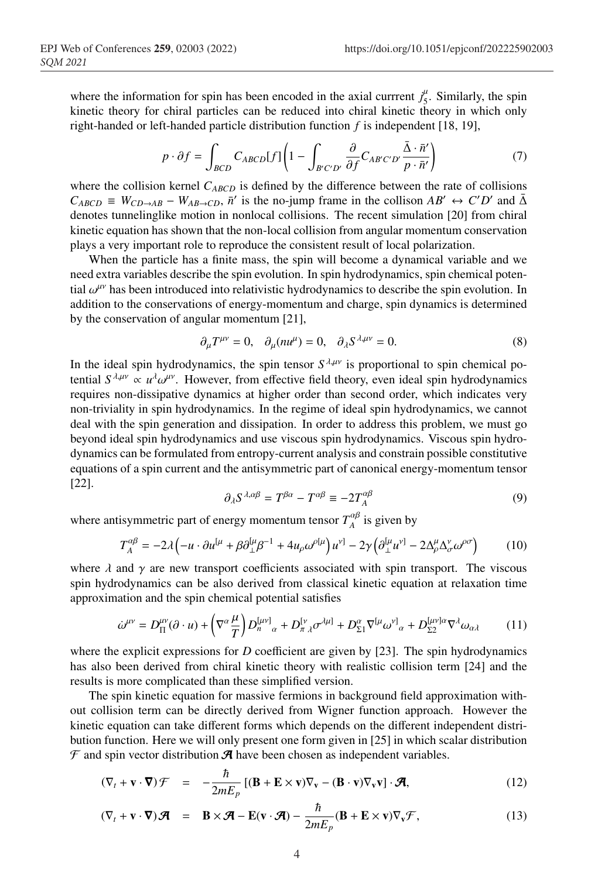where the information for spin has been encoded in the axial currrent  $j_5^{\mu}$ . Similarly, the spin kinetic theory for chiral particles can be reduced into chiral kinetic theory in which only right-handed or left-handed particle distribution function *f* is independent [18, 19],

$$
p \cdot \partial f = \int_{BCD} C_{ABCD}[f] \left(1 - \int_{B'C'D'} \frac{\partial}{\partial f} C_{AB'C'D'} \frac{\bar{\Delta} \cdot \bar{n}'}{p \cdot \bar{n}'}\right) \tag{7}
$$

where the collision kernel  $C_{ABCD}$  is defined by the difference between the rate of collisions  $C_{ABCD} \equiv W_{CD\to AB} - W_{AB\to CD}$ ,  $\bar{n}'$  is the no-jump frame in the collison  $AB' \leftrightarrow C'D'$  and  $\bar{\Delta}$ denotes tunnelinglike motion in nonlocal collisions. The recent simulation [20] from chiral kinetic equation has shown that the non-local collision from angular momentum conservation plays a very important role to reproduce the consistent result of local polarization.

When the particle has a finite mass, the spin will become a dynamical variable and we need extra variables describe the spin evolution. In spin hydrodynamics, spin chemical potential  $\omega^{\mu\nu}$  has been introduced into relativistic hydrodynamics to describe the spin evolution. In addition to the conservations of energy-momentum and charge, spin dynamics is determined by the conservation of angular momentum [21],

$$
\partial_{\mu}T^{\mu\nu} = 0, \quad \partial_{\mu}(nu^{\mu}) = 0, \quad \partial_{\lambda}S^{\lambda,\mu\nu} = 0. \tag{8}
$$

In the ideal spin hydrodynamics, the spin tensor  $S^{\lambda,\mu\nu}$  is proportional to spin chemical potential  $S^{\lambda,\mu\nu} \propto u^{\lambda} \omega^{\mu\nu}$ . However, from effective field theory, even ideal spin hydrodynamics requires non-dissipative dynamics at higher order than second order, which indicates very non-triviality in spin hydrodynamics. In the regime of ideal spin hydrodynamics, we cannot deal with the spin generation and dissipation. In order to address this problem, we must go beyond ideal spin hydrodynamics and use viscous spin hydrodynamics. Viscous spin hydrodynamics can be formulated from entropy-current analysis and constrain possible constitutive equations of a spin current and the antisymmetric part of canonical energy-momentum tensor [22].

$$
\partial_{\lambda} S^{\lambda,\alpha\beta} = T^{\beta\alpha} - T^{\alpha\beta} \equiv -2T^{\alpha\beta}_{A} \tag{9}
$$

where antisymmetric part of energy momentum tensor  $T_A^{\alpha\beta}$  is given by

$$
T_A^{\alpha\beta} = -2\lambda \left( -u \cdot \partial u^{[\mu} + \beta \partial_{\perp}^{[\mu} \beta^{-1} + 4u_{\rho} \omega^{\rho[\mu]} \right) u^{\nu]} - 2\gamma \left( \partial_{\perp}^{[\mu} u^{\nu]} - 2\Delta_{\rho}^{\mu} \Delta_{\sigma}^{\nu} \omega^{\rho \sigma} \right) \tag{10}
$$

where  $\lambda$  and  $\gamma$  are new transport coefficients associated with spin transport. The viscous spin hydrodynamics can be also derived from classical kinetic equation at relaxation time approximation and the spin chemical potential satisfies

$$
\dot{\omega}^{\mu\nu} = D_{\Pi}^{\mu\nu}(\partial \cdot u) + \left(\nabla^{\alpha}\frac{\mu}{T}\right)D_{n}^{[\mu\nu]}{}_{\alpha} + D_{\pi\,\lambda}^{[\nu}\sigma^{\lambda\mu]} + D_{\Sigma1}^{\alpha}\nabla^{[\mu}\omega^{\nu]}{}_{\alpha} + D_{\Sigma2}^{[\mu\nu]\alpha}\nabla^{\lambda}\omega_{\alpha\lambda}
$$
 (11)

where the explicit expressions for *D* coefficient are given by [23]. The spin hydrodynamics has also been derived from chiral kinetic theory with realistic collision term [24] and the results is more complicated than these simplified version.

The spin kinetic equation for massive fermions in background field approximation without collision term can be directly derived from Wigner function approach. However the kinetic equation can take different forms which depends on the different independent distribution function. Here we will only present one form given in [25] in which scalar distribution  $\mathcal F$  and spin vector distribution  $\mathcal A$  have been chosen as independent variables.

$$
(\nabla_t + \mathbf{v} \cdot \nabla) \mathcal{F} = -\frac{\hbar}{2mE_p} \left[ (\mathbf{B} + \mathbf{E} \times \mathbf{v}) \nabla_{\mathbf{v}} - (\mathbf{B} \cdot \mathbf{v}) \nabla_{\mathbf{v}} \mathbf{v} \right] \cdot \mathcal{A}, \tag{12}
$$

$$
(\nabla_t + \mathbf{v} \cdot \nabla) \mathcal{A} = \mathbf{B} \times \mathcal{A} - \mathbf{E}(\mathbf{v} \cdot \mathcal{A}) - \frac{\hbar}{2mE_p} (\mathbf{B} + \mathbf{E} \times \mathbf{v}) \nabla_{\mathbf{v}} \mathcal{F},
$$
(13)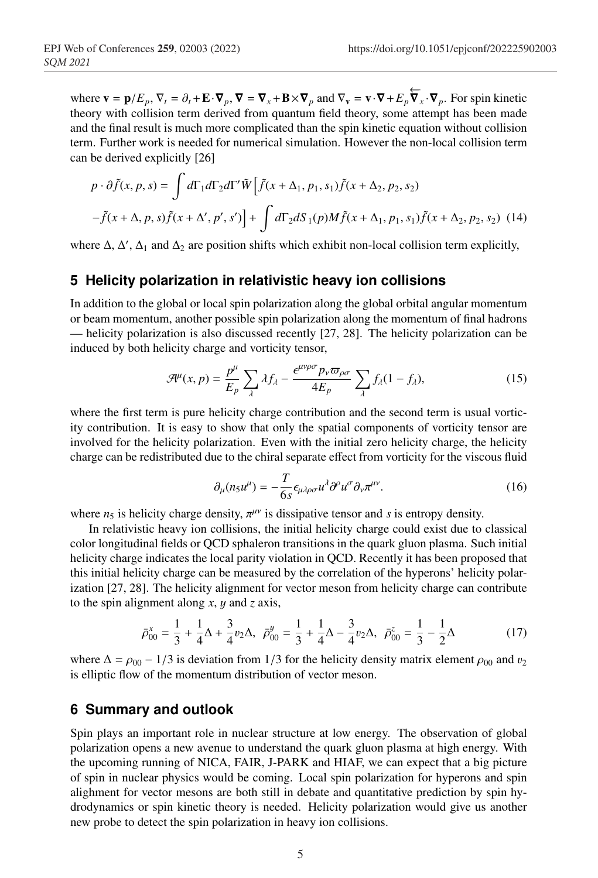where  $\mathbf{v} = \mathbf{p}/E_p$ ,  $\nabla_t = \partial_t + \mathbf{E} \cdot \nabla_p$ ,  $\nabla = \nabla_x + \mathbf{B} \times \nabla_p$  and  $\nabla_v = \mathbf{v} \cdot \nabla + E_p \nabla_x \cdot \nabla_p$ . For spin kinetic theory with collision term derived from quantum field theory, some attempt has been made and the final result is much more complicated than the spin kinetic equation without collision term. Further work is needed for numerical simulation. However the non-local collision term can be derived explicitly [26]

$$
p \cdot \partial \tilde{f}(x, p, s) = \int d\Gamma_1 d\Gamma_2 d\Gamma' \tilde{W} \Big[ \tilde{f}(x + \Delta_1, p_1, s_1) \tilde{f}(x + \Delta_2, p_2, s_2)
$$

$$
- \tilde{f}(x + \Delta, p, s) \tilde{f}(x + \Delta', p', s') \Big] + \int d\Gamma_2 dS_1(p) M \tilde{f}(x + \Delta_1, p_1, s_1) \tilde{f}(x + \Delta_2, p_2, s_2) \tag{14}
$$

where  $\Delta$ ,  $\Delta'$ ,  $\Delta_1$  and  $\Delta_2$  are position shifts which exhibit non-local collision term explicitly,

#### **5 Helicity polarization in relativistic heavy ion collisions**

In addition to the global or local spin polarization along the global orbital angular momentum or beam momentum, another possible spin polarization along the momentum of final hadrons — helicity polarization is also discussed recently [27, 28]. The helicity polarization can be induced by both helicity charge and vorticity tensor,

$$
\mathcal{A}^{\mu}(x,p) = \frac{p^{\mu}}{E_p} \sum_{\lambda} \lambda f_{\lambda} - \frac{\epsilon^{\mu\nu\rho\sigma} p_{\nu} \varpi_{\rho\sigma}}{4E_p} \sum_{\lambda} f_{\lambda} (1 - f_{\lambda}), \tag{15}
$$

where the first term is pure helicity charge contribution and the second term is usual vorticity contribution. It is easy to show that only the spatial components of vorticity tensor are involved for the helicity polarization. Even with the initial zero helicity charge, the helicity charge can be redistributed due to the chiral separate effect from vorticity for the viscous fluid

$$
\partial_{\mu}(n_5 u^{\mu}) = -\frac{T}{6s} \epsilon_{\mu\lambda\rho\sigma} u^{\lambda} \partial^{\rho} u^{\sigma} \partial_{\nu} \pi^{\mu\nu}.
$$
 (16)

where  $n_5$  is helicity charge density,  $\pi^{\mu\nu}$  is dissipative tensor and *s* is entropy density.

In relativistic heavy ion collisions, the initial helicity charge could exist due to classical color longitudinal fields or QCD sphaleron transitions in the quark gluon plasma. Such initial helicity charge indicates the local parity violation in QCD. Recently it has been proposed that this initial helicity charge can be measured by the correlation of the hyperons' helicity polarization [27, 28]. The helicity alignment for vector meson from helicity charge can contribute to the spin alignment along *x*, y and *z* axis,

$$
\bar{\rho}_{00}^x = \frac{1}{3} + \frac{1}{4}\Delta + \frac{3}{4}v_2\Delta, \ \ \bar{\rho}_{00}^y = \frac{1}{3} + \frac{1}{4}\Delta - \frac{3}{4}v_2\Delta, \ \ \bar{\rho}_{00}^z = \frac{1}{3} - \frac{1}{2}\Delta
$$
 (17)

where  $\Delta = \rho_{00} - 1/3$  is deviation from 1/3 for the helicity density matrix element  $\rho_{00}$  and  $v_2$ is elliptic flow of the momentum distribution of vector meson.

#### **6 Summary and outlook**

Spin plays an important role in nuclear structure at low energy. The observation of global polarization opens a new avenue to understand the quark gluon plasma at high energy. With the upcoming running of NICA, FAIR, J-PARK and HIAF, we can expect that a big picture of spin in nuclear physics would be coming. Local spin polarization for hyperons and spin alighment for vector mesons are both still in debate and quantitative prediction by spin hydrodynamics or spin kinetic theory is needed. Helicity polarization would give us another new probe to detect the spin polarization in heavy ion collisions.